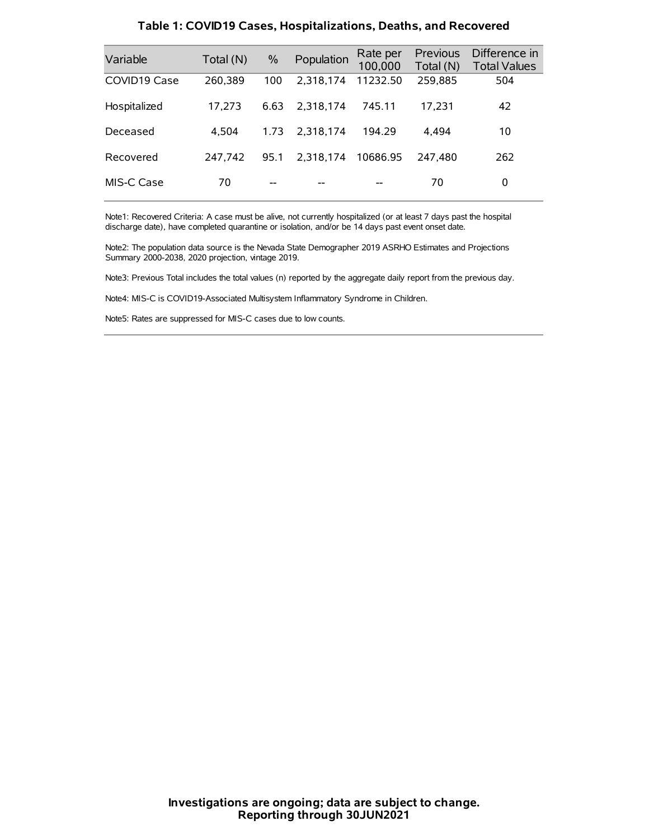| Variable     | Total (N) | $\frac{0}{0}$ | Population | Rate per<br>100,000 | Previous<br>Total (N) | Difference in<br><b>Total Values</b> |
|--------------|-----------|---------------|------------|---------------------|-----------------------|--------------------------------------|
| COVID19 Case | 260,389   | 100           | 2.318.174  | 11232.50            | 259,885               | 504                                  |
| Hospitalized | 17,273    | 6.63          | 2.318.174  | 745.11              | 17,231                | 42                                   |
| Deceased     | 4.504     | 1.73          | 2.318.174  | 194.29              | 4.494                 | 10                                   |
| Recovered    | 247.742   | 95.1          | 2.318.174  | 10686.95            | 247.480               | 262                                  |
| MIS-C Case   | 70        | --            |            |                     | 70                    | 0                                    |

#### **Table 1: COVID19 Cases, Hospitalizations, Deaths, and Recovered**

Note1: Recovered Criteria: A case must be alive, not currently hospitalized (or at least 7 days past the hospital discharge date), have completed quarantine or isolation, and/or be 14 days past event onset date.

Note2: The population data source is the Nevada State Demographer 2019 ASRHO Estimates and Projections Summary 2000-2038, 2020 projection, vintage 2019.

Note3: Previous Total includes the total values (n) reported by the aggregate daily report from the previous day.

Note4: MIS-C is COVID19-Associated Multisystem Inflammatory Syndrome in Children.

Note5: Rates are suppressed for MIS-C cases due to low counts.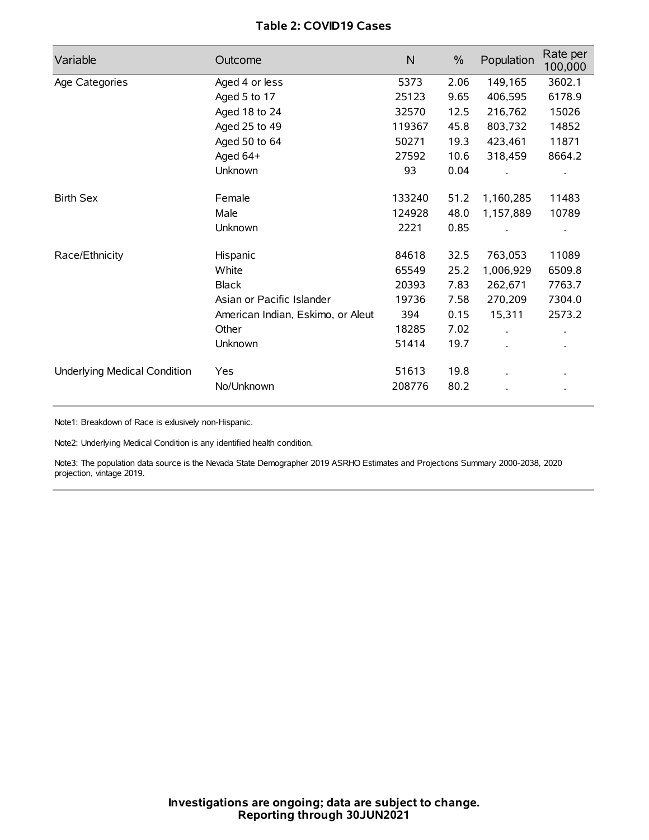## **Table 2: COVID19 Cases**

| Variable                     | Outcome                           | $\mathsf{N}$ | $\%$ | Population | Rate per<br>100,000 |
|------------------------------|-----------------------------------|--------------|------|------------|---------------------|
| Age Categories               | Aged 4 or less                    | 5373         | 2.06 | 149,165    | 3602.1              |
|                              | Aged 5 to 17                      | 25123        | 9.65 | 406,595    | 6178.9              |
|                              | Aged 18 to 24                     | 32570        | 12.5 | 216,762    | 15026               |
|                              | Aged 25 to 49                     | 119367       | 45.8 | 803,732    | 14852               |
|                              | Aged 50 to 64                     | 50271        | 19.3 | 423,461    | 11871               |
|                              | Aged 64+                          | 27592        | 10.6 | 318,459    | 8664.2              |
|                              | Unknown                           | 93           | 0.04 |            |                     |
| <b>Birth Sex</b>             | Female                            | 133240       | 51.2 | 1,160,285  | 11483               |
|                              | Male                              | 124928       | 48.0 | 1,157,889  | 10789               |
|                              | Unknown                           | 2221         | 0.85 |            |                     |
| Race/Ethnicity               | Hispanic                          | 84618        | 32.5 | 763,053    | 11089               |
|                              | White                             | 65549        | 25.2 | 1,006,929  | 6509.8              |
|                              | <b>Black</b>                      | 20393        | 7.83 | 262,671    | 7763.7              |
|                              | Asian or Pacific Islander         | 19736        | 7.58 | 270,209    | 7304.0              |
|                              | American Indian, Eskimo, or Aleut | 394          | 0.15 | 15,311     | 2573.2              |
|                              | Other                             | 18285        | 7.02 |            |                     |
|                              | Unknown                           | 51414        | 19.7 |            |                     |
| Underlying Medical Condition | Yes                               | 51613        | 19.8 |            |                     |
|                              | No/Unknown                        | 208776       | 80.2 |            |                     |

Note1: Breakdown of Race is exlusively non-Hispanic.

Note2: Underlying Medical Condition is any identified health condition.

Note3: The population data source is the Nevada State Demographer 2019 ASRHO Estimates and Projections Summary 2000-2038, 2020 projection, vintage 2019.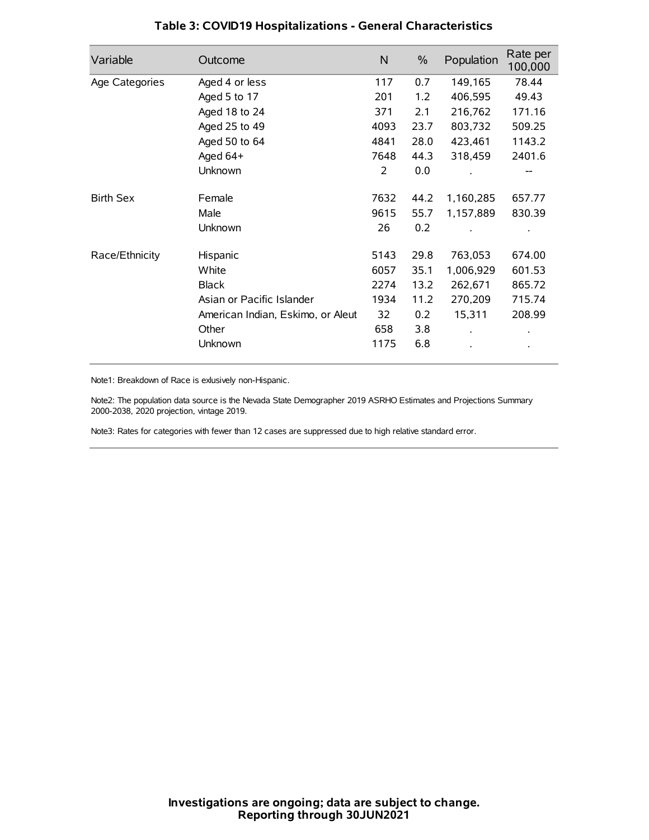| Variable         | Outcome                           | N    | $\%$ | Population | Rate per<br>100,000 |
|------------------|-----------------------------------|------|------|------------|---------------------|
| Age Categories   | Aged 4 or less                    | 117  | 0.7  | 149,165    | 78.44               |
|                  | Aged 5 to 17                      | 201  | 1.2  | 406,595    | 49.43               |
|                  | Aged 18 to 24                     | 371  | 2.1  | 216,762    | 171.16              |
|                  | Aged 25 to 49                     | 4093 | 23.7 | 803,732    | 509.25              |
|                  | Aged 50 to 64                     | 4841 | 28.0 | 423,461    | 1143.2              |
|                  | Aged 64+                          | 7648 | 44.3 | 318,459    | 2401.6              |
|                  | Unknown                           | 2    | 0.0  |            |                     |
| <b>Birth Sex</b> | Female                            | 7632 | 44.2 | 1,160,285  | 657.77              |
|                  | Male                              | 9615 | 55.7 | 1,157,889  | 830.39              |
|                  | Unknown                           | 26   | 0.2  |            |                     |
| Race/Ethnicity   | Hispanic                          | 5143 | 29.8 | 763,053    | 674.00              |
|                  | White                             | 6057 | 35.1 | 1,006,929  | 601.53              |
|                  | <b>Black</b>                      | 2274 | 13.2 | 262,671    | 865.72              |
|                  | Asian or Pacific Islander         | 1934 | 11.2 | 270,209    | 715.74              |
|                  | American Indian, Eskimo, or Aleut | 32   | 0.2  | 15,311     | 208.99              |
|                  | Other                             | 658  | 3.8  |            |                     |
|                  | Unknown                           | 1175 | 6.8  |            |                     |

## **Table 3: COVID19 Hospitalizations - General Characteristics**

Note1: Breakdown of Race is exlusively non-Hispanic.

Note2: The population data source is the Nevada State Demographer 2019 ASRHO Estimates and Projections Summary 2000-2038, 2020 projection, vintage 2019.

Note3: Rates for categories with fewer than 12 cases are suppressed due to high relative standard error.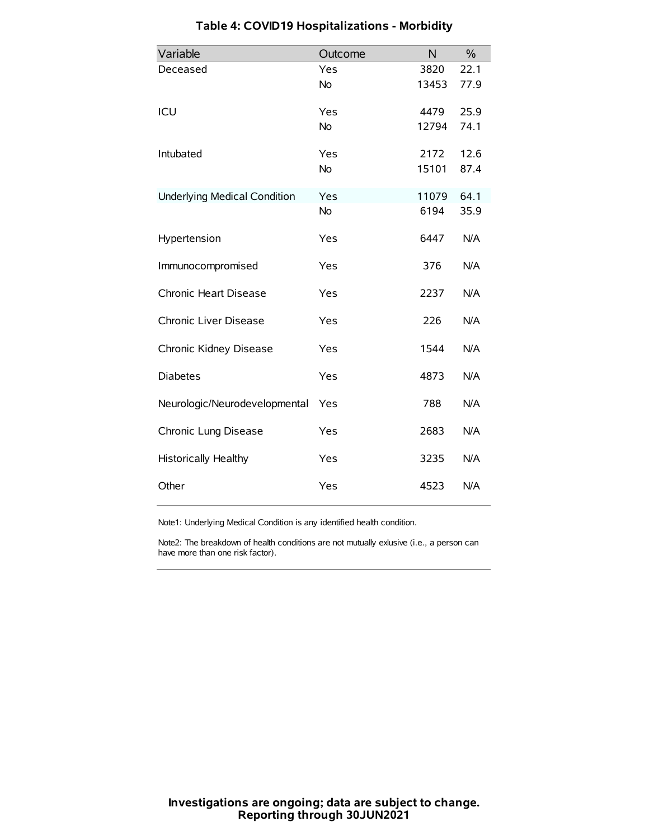| Variable                            | Outcome   | N     | $\frac{0}{0}$ |
|-------------------------------------|-----------|-------|---------------|
| Deceased                            | Yes       | 3820  | 22.1          |
|                                     | No        | 13453 | 77.9          |
| ICU                                 | Yes       | 4479  | 25.9          |
|                                     | <b>No</b> | 12794 | 74.1          |
| Intubated                           | Yes       | 2172  | 12.6          |
|                                     | No        | 15101 | 87.4          |
| <b>Underlying Medical Condition</b> | Yes       | 11079 | 64.1          |
|                                     | <b>No</b> | 6194  | 35.9          |
| Hypertension                        | Yes       | 6447  | N/A           |
| Immunocompromised                   | Yes       | 376   | N/A           |
| Chronic Heart Disease               | Yes       | 2237  | N/A           |
| Chronic Liver Disease               | Yes       | 226   | N/A           |
| Chronic Kidney Disease              | Yes       | 1544  | N/A           |
| <b>Diabetes</b>                     | Yes       | 4873  | N/A           |
| Neurologic/Neurodevelopmental       | Yes       | 788   | N/A           |
| Chronic Lung Disease                | Yes       | 2683  | N/A           |
| <b>Historically Healthy</b>         | Yes       | 3235  | N/A           |
| Other                               | Yes       | 4523  | N/A           |

# **Table 4: COVID19 Hospitalizations - Morbidity**

Note1: Underlying Medical Condition is any identified health condition.

Note2: The breakdown of health conditions are not mutually exlusive (i.e., a person can have more than one risk factor).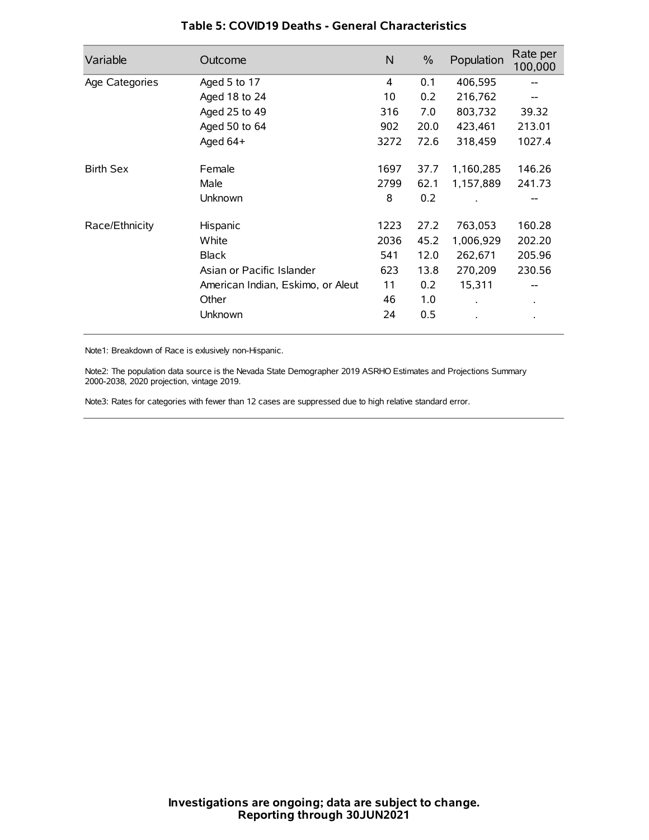| Variable         | Outcome                           | N    | $\%$ | Population           | Rate per<br>100,000 |
|------------------|-----------------------------------|------|------|----------------------|---------------------|
| Age Categories   | Aged 5 to 17                      | 4    | 0.1  | 406,595              | --                  |
|                  | Aged 18 to 24                     | 10   | 0.2  | 216,762              |                     |
|                  | Aged 25 to 49                     | 316  | 7.0  | 803,732              | 39.32               |
|                  | Aged 50 to 64                     | 902  | 20.0 | 423,461              | 213.01              |
|                  | Aged 64+                          | 3272 | 72.6 | 318,459              | 1027.4              |
| <b>Birth Sex</b> | Female                            | 1697 | 37.7 | 1,160,285            | 146.26              |
|                  | Male                              | 2799 | 62.1 | 1,157,889            | 241.73              |
|                  | Unknown                           | 8    | 0.2  |                      |                     |
| Race/Ethnicity   | Hispanic                          | 1223 | 27.2 | 763,053              | 160.28              |
|                  | White                             | 2036 | 45.2 | 1,006,929            | 202.20              |
|                  | <b>Black</b>                      | 541  | 12.0 | 262,671              | 205.96              |
|                  | Asian or Pacific Islander         | 623  | 13.8 | 270,209              | 230.56              |
|                  | American Indian, Eskimo, or Aleut | 11   | 0.2  | 15,311               |                     |
|                  | Other                             | 46   | 1.0  | $\ddot{\phantom{0}}$ | $\bullet$           |
|                  | Unknown                           | 24   | 0.5  |                      |                     |

## **Table 5: COVID19 Deaths - General Characteristics**

Note1: Breakdown of Race is exlusively non-Hispanic.

Note2: The population data source is the Nevada State Demographer 2019 ASRHO Estimates and Projections Summary 2000-2038, 2020 projection, vintage 2019.

Note3: Rates for categories with fewer than 12 cases are suppressed due to high relative standard error.